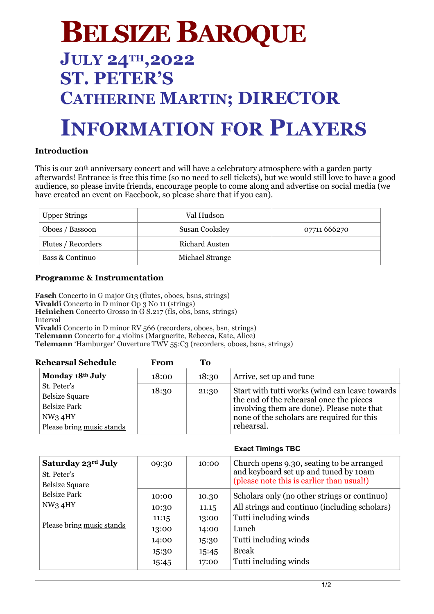# **BELSIZE BAROQUE**

## **JULY 24TH,2022 ST. PETER'S CATHERINE MARTIN; DIRECTOR**

### **INFORMATION FOR PLAYERS**

#### **Introduction**

This is our 20th anniversary concert and will have a celebratory atmosphere with a garden party afterwards! Entrance is free this time (so no need to sell tickets), but we would still love to have a good audience, so please invite friends, encourage people to come along and advertise on social media (we have created an event on Facebook, so please share that if you can).

| <b>Upper Strings</b> | Val Hudson            |              |
|----------------------|-----------------------|--------------|
| Oboes / Bassoon      | <b>Susan Cooksley</b> | 07711 666270 |
| Flutes / Recorders   | Richard Austen        |              |
| Bass & Continuo      | Michael Strange       |              |

#### **Programme & Instrumentation**

**Fasch** Concerto in G major G13 (flutes, oboes, bsns, strings) **Vivaldi** Concerto in D minor Op 3 No 11 (strings) **Heinichen** Concerto Grosso in G S.217 (fls, obs, bsns, strings) Interval **Vivaldi** Concerto in D minor RV 566 (recorders, oboes, bsn, strings) **Telemann** Concerto for 4 violins (Marguerite, Rebecca, Kate, Alice) **Telemann** 'Hamburger' Ouverture TWV 55:C3 (recorders, oboes, bsns, strings)

| <b>Rehearsal Schedule</b>                                                                          | From  | To    |                                                                                                                                                                                                      |
|----------------------------------------------------------------------------------------------------|-------|-------|------------------------------------------------------------------------------------------------------------------------------------------------------------------------------------------------------|
| Monday 18th July                                                                                   | 18:00 | 18:30 | Arrive, set up and tune                                                                                                                                                                              |
| St. Peter's<br><b>Belsize Square</b><br><b>Belsize Park</b><br>NW34HY<br>Please bring music stands | 18:30 | 21:30 | Start with tutti works (wind can leave towards<br>the end of the rehearsal once the pieces<br>involving them are done). Please note that<br>none of the scholars are required for this<br>rehearsal. |

| LAQUL TIIIIIIIYƏ TDU                                                    |                                  |                                  |                                                                                                                                 |  |
|-------------------------------------------------------------------------|----------------------------------|----------------------------------|---------------------------------------------------------------------------------------------------------------------------------|--|
| Saturday 23rd July<br>St. Peter's<br><b>Belsize Square</b>              | 09:30                            | 10:00                            | Church opens 9.30, seating to be arranged<br>and keyboard set up and tuned by 10am<br>(please note this is earlier than usual!) |  |
| <b>Belsize Park</b><br>NW <sub>3</sub> 4HY<br>Please bring music stands | 10:00<br>10:30<br>11:15          | 10.30<br>11.15<br>13:00          | Scholars only (no other strings or continuo)<br>All strings and continuo (including scholars)<br>Tutti including winds          |  |
|                                                                         | 13:00<br>14:00<br>15:30<br>15:45 | 14:00<br>15:30<br>15:45<br>17:00 | Lunch<br>Tutti including winds<br><b>Break</b><br>Tutti including winds                                                         |  |

#### **Exact Timings TBC**